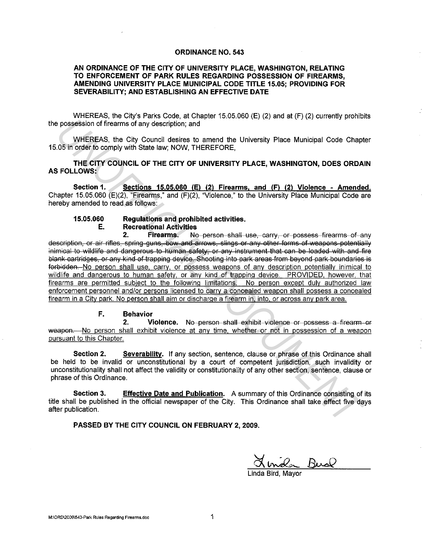### **ORDINANCE NO. 543**

## AN ORDINANCE OF THE CITY OF UNIVERSITY PLACE, WASHINGTON, RELATING TO ENFORCEMENT OF PARK RULES REGARDING POSSESSION OF FIREARMS. AMENDING UNIVERSITY PLACE MUNICIPAL CODE TITLE 15.05: PROVIDING FOR SEVERABILITY: AND ESTABLISHING AN EFFECTIVE DATE

WHEREAS, the City's Parks Code, at Chapter 15.05.060 (E) (2) and at (F) (2) currently prohibits the possession of firearms of any description: and

WHEREAS, the City Council desires to amend the University Place Municipal Code Chapter 15.05 in order to comply with State law; NOW, THEREFORE,

THE CITY COUNCIL OF THE CITY OF UNIVERSITY PLACE, WASHINGTON, DOES ORDAIN **AS FOLLOWS:** 

Section 1. Sections 15.05.060 (E) (2) Firearms, and (F) (2) Violence - Amended. Chapter 15.05.060 (E)(2). "Firearms." and (F)(2). "Violence," to the University Place Municipal Code are hereby amended to read as follows:

#### Requlations and prohibited activities. 15.05.060 **Recreational Activities** E.

Firearms.  $2<sub>-</sub>$ No person shall use, carry, or possess firearms of any description, or air rifles, spring guns, bow and arrows, slings or any other forms of weapons potentially inimical to wildlife and dangerous to human safety, or any instrument that can be loaded with and fire blank cartridges, or any kind of trapping device. Shooting into park areas from beyond park boundaries is forbidden. No person shall use, carry, or possess weapons of any description potentially inimical to wildlife and dangerous to human safety, or any kind of trapping device. PROVIDED, however, that firearms are permitted subject to the following limitations. No person except duly authorized law enforcement personnel and/or persons licensed to carry a concealed weapon shall possess a concealed firearm in a City park. No person shall aim or discharge a firearm in, into, or across any park area.

#### $F_{\perp}$ **Behavior**

Violence. No person shall exhibit violence or possess a firearm or  $2<sub>1</sub>$ weapon.—No person shall exhibit violence at any time, whether or not in possession of a weapon pursuant to this Chapter.

Section 2. Severability. If any section, sentence, clause or phrase of this Ordinance shall be held to be invalid or unconstitutional by a court of competent jurisdiction, such invalidity or unconstitutionality shall not affect the validity or constitutionality of any other section, sentence, clause or phrase of this Ordinance.

Effective Date and Publication. A summary of this Ordinance consisting of its Section 3. title shall be published in the official newspaper of the City. This Ordinance shall take effect five days after publication.

PASSED BY THE CITY COUNCIL ON FEBRUARY 2, 2009.

male Bual